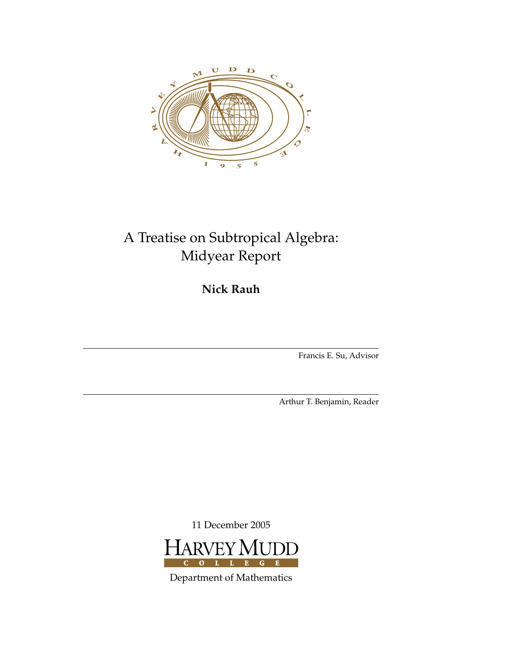

## A Treatise on Subtropical Algebra: Midyear Report

**Nick Rauh**

Francis E. Su, Advisor

Arthur T. Benjamin, Reader

11 December 2005



Department of Mathematics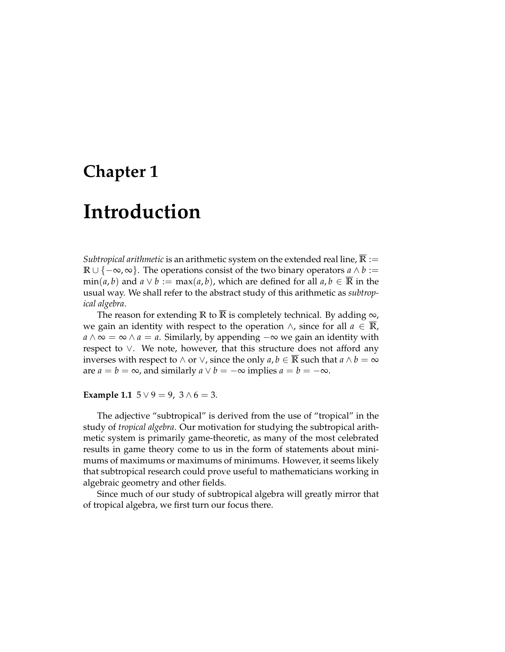# **Introduction**

*Subtropical arithmetic* is an arithmetic system on the extended real line,  $\mathbb{R} :=$ **R** ∪ { $-\infty$ ,  $\infty$ }. The operations consist of the two binary operators *a* ∧ *b* :=  $\min(a, b)$  and  $a \vee b := \max(a, b)$ , which are defined for all  $a, b \in \overline{\mathbb{R}}$  in the usual way. We shall refer to the abstract study of this arithmetic as *subtropical algebra*.

The reason for extending **R** to **R** is completely technical. By adding  $\infty$ , we gain an identity with respect to the operation  $\land$ , since for all *a* ∈ **R**,  $a \wedge \infty = \infty \wedge a = a$ . Similarly, by appending  $-\infty$  we gain an identity with respect to ∨. We note, however, that this structure does not afford any inverses with respect to  $\land$  or  $\lor$ , since the only  $a, b \in \overline{\mathbb{R}}$  such that  $a \land b = \infty$ are  $a = b = \infty$ , and similarly  $a \vee b = -\infty$  implies  $a = b = -\infty$ .

**Example 1.1**  $5 \vee 9 = 9$ ,  $3 \wedge 6 = 3$ .

The adjective "subtropical" is derived from the use of "tropical" in the study of *tropical algebra*. Our motivation for studying the subtropical arithmetic system is primarily game-theoretic, as many of the most celebrated results in game theory come to us in the form of statements about minimums of maximums or maximums of minimums. However, it seems likely that subtropical research could prove useful to mathematicians working in algebraic geometry and other fields.

Since much of our study of subtropical algebra will greatly mirror that of tropical algebra, we first turn our focus there.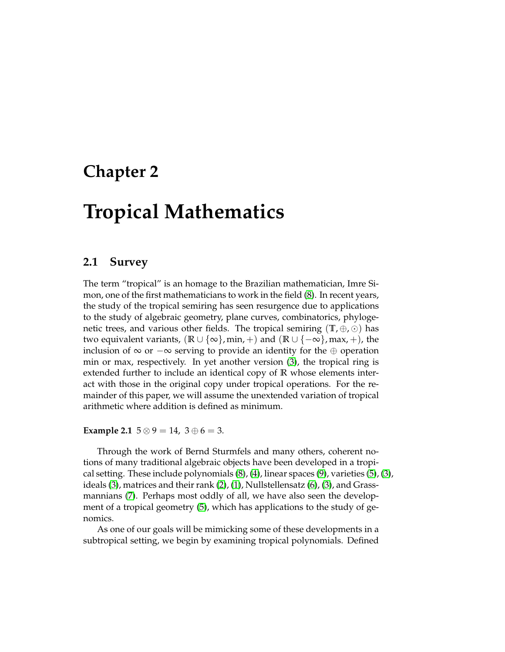# **Tropical Mathematics**

#### **2.1 Survey**

The term "tropical" is an homage to the Brazilian mathematician, Imre Simon, one of the first mathematicians to work in the field [\(8\)](#page-24-0). In recent years, the study of the tropical semiring has seen resurgence due to applications to the study of algebraic geometry, plane curves, combinatorics, phylogenetic trees, and various other fields. The tropical semiring  $(\mathbb{T}, \oplus, \odot)$  has two equivalent variants,  $(\mathbb{R} \cup {\infty}$ , min, +) and  $(\mathbb{R} \cup {\infty}$ , max, +), the inclusion of  $\infty$  or  $-\infty$  serving to provide an identity for the  $\oplus$  operation min or max, respectively. In yet another version [\(3\)](#page-24-1), the tropical ring is extended further to include an identical copy of **R** whose elements interact with those in the original copy under tropical operations. For the remainder of this paper, we will assume the unextended variation of tropical arithmetic where addition is defined as minimum.

**Example 2.1**  $5 \otimes 9 = 14$ ,  $3 \oplus 6 = 3$ .

Through the work of Bernd Sturmfels and many others, coherent notions of many traditional algebraic objects have been developed in a tropical setting. These include polynomials [\(8\)](#page-24-0), [\(4\)](#page-24-2), linear spaces [\(9\)](#page-24-3), varieties [\(5\)](#page-24-4), [\(3\)](#page-24-1), ideals [\(3\)](#page-24-1), matrices and their rank [\(2\)](#page-24-5), [\(1\)](#page-24-6), Nullstellensatz [\(6\)](#page-24-7), [\(3\)](#page-24-1), and Grassmannians [\(7\)](#page-24-8). Perhaps most oddly of all, we have also seen the development of a tropical geometry [\(5\)](#page-24-4), which has applications to the study of genomics.

As one of our goals will be mimicking some of these developments in a subtropical setting, we begin by examining tropical polynomials. Defined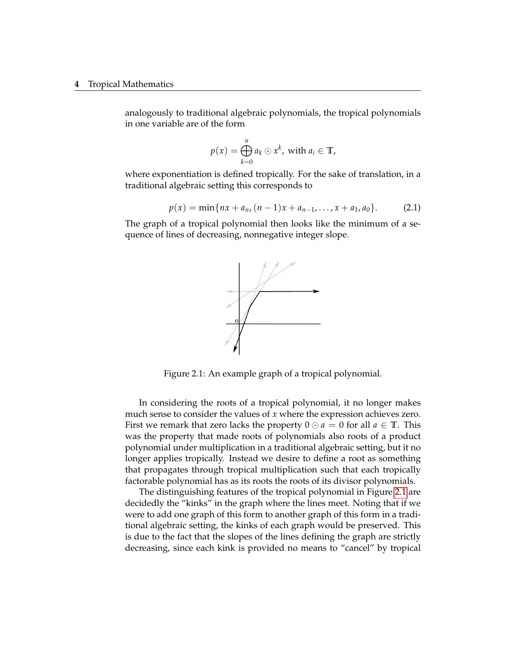#### **4** Tropical Mathematics

analogously to traditional algebraic polynomials, the tropical polynomials in one variable are of the form

$$
p(x) = \bigoplus_{k=0}^{n} a_k \odot x^k, \text{ with } a_i \in \mathbb{T},
$$

where exponentiation is defined tropically. For the sake of translation, in a traditional algebraic setting this corresponds to

<span id="page-5-1"></span>
$$
p(x) = \min\{nx + a_n, (n-1)x + a_{n-1}, \dots, x + a_1, a_0\}.
$$
 (2.1)

The graph of a tropical polynomial then looks like the minimum of a sequence of lines of decreasing, nonnegative integer slope.



<span id="page-5-0"></span>Figure 2.1: An example graph of a tropical polynomial.

In considering the roots of a tropical polynomial, it no longer makes much sense to consider the values of *x* where the expression achieves zero. First we remark that zero lacks the property  $0 \odot a = 0$  for all  $a \in \mathbb{T}$ . This was the property that made roots of polynomials also roots of a product polynomial under multiplication in a traditional algebraic setting, but it no longer applies tropically. Instead we desire to define a root as something that propagates through tropical multiplication such that each tropically factorable polynomial has as its roots the roots of its divisor polynomials.

The distinguishing features of the tropical polynomial in Figure [2.1](#page-5-0) are decidedly the "kinks" in the graph where the lines meet. Noting that if we were to add one graph of this form to another graph of this form in a traditional algebraic setting, the kinks of each graph would be preserved. This is due to the fact that the slopes of the lines defining the graph are strictly decreasing, since each kink is provided no means to "cancel" by tropical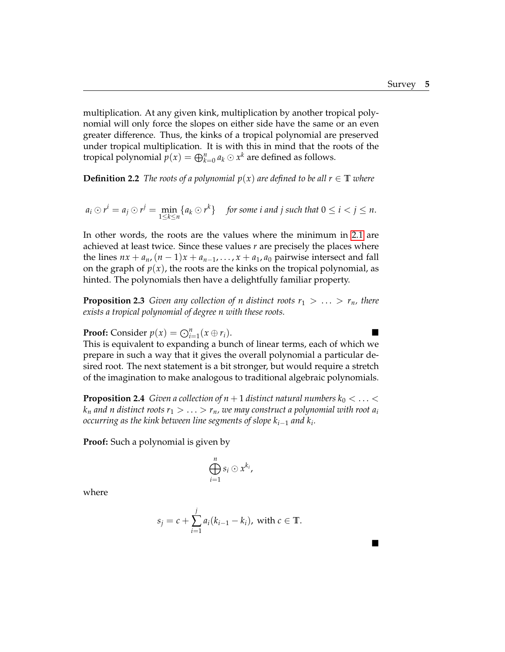$\blacksquare$ 

multiplication. At any given kink, multiplication by another tropical polynomial will only force the slopes on either side have the same or an even greater difference. Thus, the kinks of a tropical polynomial are preserved under tropical multiplication. It is with this in mind that the roots of the tropical polynomial  $p(x) = \bigoplus_{k=0}^{n} a_k \odot x^k$  are defined as follows.

**Definition 2.2** *The roots of a polynomial*  $p(x)$  *are defined to be all*  $r \in \mathbb{T}$  *where* 

$$
a_i \odot r^i = a_j \odot r^j = \min_{1 \leq k \leq n} \{a_k \odot r^k\} \quad \text{for some } i \text{ and } j \text{ such that } 0 \leq i < j \leq n.
$$

In other words, the roots are the values where the minimum in [2.1](#page-5-1) are achieved at least twice. Since these values *r* are precisely the places where the lines  $nx + a_n$ ,  $(n-1)x + a_{n-1}, \ldots, x + a_1, a_0$  pairwise intersect and fall on the graph of  $p(x)$ , the roots are the kinks on the tropical polynomial, as hinted. The polynomials then have a delightfully familiar property.

**Proposition 2.3** *Given any collection of n distinct roots*  $r_1 > \ldots > r_n$ *, there exists a tropical polynomial of degree n with these roots.*

**Proof:** Consider  $p(x) = \bigodot_{i=1}^{n} (x \oplus r_i)$ .

This is equivalent to expanding a bunch of linear terms, each of which we prepare in such a way that it gives the overall polynomial a particular desired root. The next statement is a bit stronger, but would require a stretch of the imagination to make analogous to traditional algebraic polynomials.

**Proposition 2.4** *Given a collection of n* + 1 *distinct natural numbers*  $k_0 < ... <$  $k_n$  *and n distinct roots*  $r_1 > \ldots > r_n$ , we may construct a polynomial with root  $a_i$ *occurring as the kink between line segments of slope ki*−<sup>1</sup> *and k<sup>i</sup> .*

**Proof:** Such a polynomial is given by

$$
\bigoplus_{i=1}^n s_i \odot x^{k_i},
$$

where

$$
s_j = c + \sum_{i=1}^j a_i (k_{i-1} - k_i)
$$
, with  $c \in \mathbb{T}$ .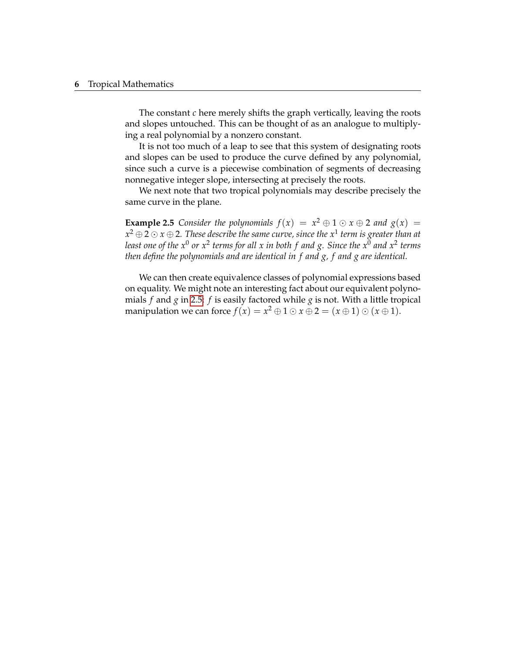#### **6** Tropical Mathematics

The constant *c* here merely shifts the graph vertically, leaving the roots and slopes untouched. This can be thought of as an analogue to multiplying a real polynomial by a nonzero constant.

It is not too much of a leap to see that this system of designating roots and slopes can be used to produce the curve defined by any polynomial, since such a curve is a piecewise combination of segments of decreasing nonnegative integer slope, intersecting at precisely the roots.

We next note that two tropical polynomials may describe precisely the same curve in the plane.

<span id="page-7-0"></span>**Example 2.5** *Consider the polynomials*  $f(x) = x^2 \oplus 1 \odot x \oplus 2$  *and*  $g(x) =$ *x* <sup>2</sup> ⊕ 2  *x* ⊕ 2*. These describe the same curve, since the x*<sup>1</sup> *term is greater than at least one of the x*<sup>0</sup> *or x*<sup>2</sup> *terms for all x in both f and g. Since the x*<sup>0</sup> *and x*<sup>2</sup> *terms then define the polynomials and are identical in f and g, f and g are identical.*

We can then create equivalence classes of polynomial expressions based on equality. We might note an interesting fact about our equivalent polynomials *f* and *g* in [2.5:](#page-7-0) *f* is easily factored while *g* is not. With a little tropical manipulation we can force  $f(x) = x^2 \oplus 1 \odot x \oplus 2 = (x \oplus 1) \odot (x \oplus 1).$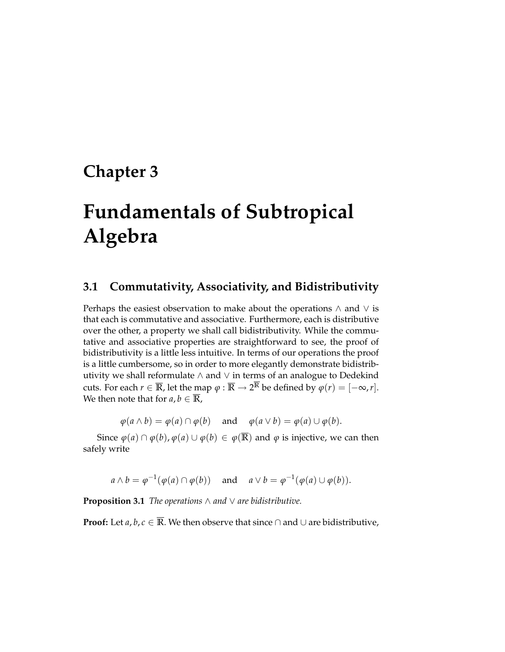# **Fundamentals of Subtropical Algebra**

### **3.1 Commutativity, Associativity, and Bidistributivity**

Perhaps the easiest observation to make about the operations ∧ and ∨ is that each is commutative and associative. Furthermore, each is distributive over the other, a property we shall call bidistributivity. While the commutative and associative properties are straightforward to see, the proof of bidistributivity is a little less intuitive. In terms of our operations the proof is a little cumbersome, so in order to more elegantly demonstrate bidistributivity we shall reformulate ∧ and ∨ in terms of an analogue to Dedekind cuts. For each  $r \in \overline{\mathbb{R}}$ , let the map  $\varphi : \overline{\mathbb{R}} \to 2^{\mathbb{R}}$  be defined by  $\varphi(r) = [-\infty, r].$ We then note that for  $a, b \in \overline{\mathbb{R}}$ ,

 $\varphi$ ( $a \wedge b$ ) =  $\varphi$ ( $a$ )  $\cap$   $\varphi$ ( $b$ ) and  $\varphi$ ( $a \vee b$ ) =  $\varphi$ ( $a$ )  $\cup$   $\varphi$ ( $b$ ).

Since  $\varphi(a) \cap \varphi(b)$ ,  $\varphi(a) \cup \varphi(b) \in \varphi(\overline{\mathbb{R}})$  and  $\varphi$  is injective, we can then safely write

 $a \wedge b = \varphi^{-1}(\varphi(a) \cap \varphi(b))$  and  $a \vee b = \varphi^{-1}(\varphi(a) \cup \varphi(b)).$ 

**Proposition 3.1** *The operations* ∧ *and* ∨ *are bidistributive.*

**Proof:** Let *a*, *b*, *c* ∈  $\overline{R}$ . We then observe that since  $\cap$  and  $\cup$  are bidistributive,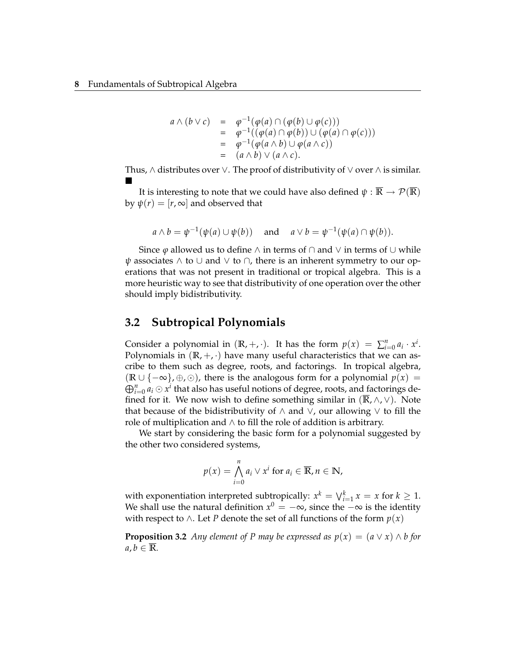$$
a \wedge (b \vee c) = \varphi^{-1}(\varphi(a) \cap (\varphi(b) \cup \varphi(c)))
$$
  
= 
$$
\varphi^{-1}((\varphi(a) \cap \varphi(b)) \cup (\varphi(a) \cap \varphi(c)))
$$
  
= 
$$
\varphi^{-1}(\varphi(a \wedge b) \cup \varphi(a \wedge c))
$$
  
= 
$$
(a \wedge b) \vee (a \wedge c).
$$

Thus,  $\wedge$  distributes over  $\vee$ . The proof of distributivity of  $\vee$  over  $\wedge$  is similar.  $\blacksquare$ 

It is interesting to note that we could have also defined  $\psi : \overline{\mathbb{R}} \to \mathcal{P}(\overline{\mathbb{R}})$ by  $\psi(r) = [r, \infty]$  and observed that

$$
a \wedge b = \psi^{-1}(\psi(a) \cup \psi(b))
$$
 and  $a \vee b = \psi^{-1}(\psi(a) \cap \psi(b)).$ 

Since  $\varphi$  allowed us to define  $\wedge$  in terms of  $\cap$  and  $\vee$  in terms of  $\cup$  while  $\psi$  associates  $\wedge$  to  $\cup$  and  $\vee$  to  $\cap$ , there is an inherent symmetry to our operations that was not present in traditional or tropical algebra. This is a more heuristic way to see that distributivity of one operation over the other should imply bidistributivity.

#### **3.2 Subtropical Polynomials**

Consider a polynomial in  $(\mathbb{R}, +, \cdot)$ . It has the form  $p(x) = \sum_{i=0}^{n} a_i \cdot x^i$ . Polynomials in  $(\mathbb{R}, +, \cdot)$  have many useful characteristics that we can ascribe to them such as degree, roots, and factorings. In tropical algebra,  $(\mathbb{R} \cup \{-\infty\}, \oplus, \odot)$ , there is the analogous form for a polynomial  $p(x) =$  $\bigoplus_{i=0}^n a_i \odot x^i$  that also has useful notions of degree, roots, and factorings defined for it. We now wish to define something similar in  $(\mathbb{R}, \wedge, \vee)$ . Note that because of the bidistributivity of  $∧$  and  $∨$ , our allowing  $∨$  to fill the role of multiplication and  $\wedge$  to fill the role of addition is arbitrary.

We start by considering the basic form for a polynomial suggested by the other two considered systems,

$$
p(x) = \bigwedge_{i=0}^{n} a_i \vee x^i \text{ for } a_i \in \overline{\mathbb{R}}, n \in \mathbb{N},
$$

with exponentiation interpreted subtropically:  $x^k = \bigvee_{i=1}^k x = x$  for  $k \geq 1$ . We shall use the natural definition  $x^0 = -\infty$ , since the  $-\infty$  is the identity with respect to ∧. Let *P* denote the set of all functions of the form  $p(x)$ 

<span id="page-9-0"></span>**Proposition 3.2** *Any element of P may be expressed as*  $p(x) = (a \lor x) \land b$  *for*  $a, b \in \mathbb{R}$ .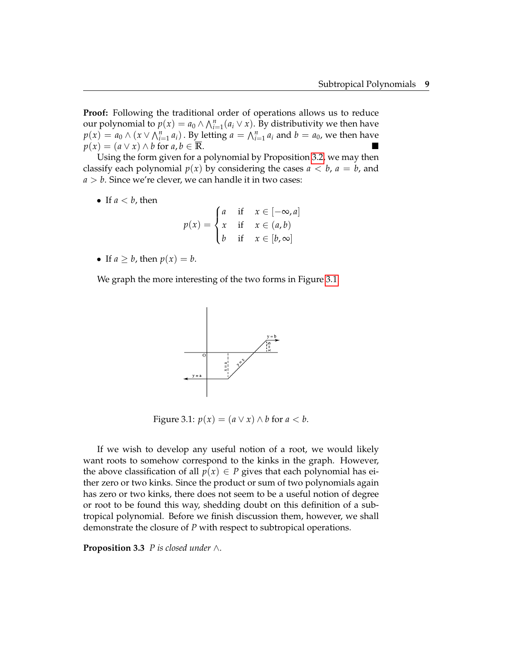**Proof:** Following the traditional order of operations allows us to reduce our polynomial to  $p(x) = a_0 \wedge \bigwedge_{i=1}^n (a_i \vee x)$ . By distributivity we then have  $p(x) = a_0 \wedge (x \vee \bigwedge_{i=1}^n a_i)$ . By letting  $a = \bigwedge_{i=1}^n a_i$  and  $b = a_0$ , we then have *p*(*x*) = (*a* ∨ *x*) ∧ *b* for *a*, *b* ∈  $\overline{\mathbb{R}}$ .

Using the form given for a polynomial by Proposition [3.2,](#page-9-0) we may then classify each polynomial  $p(x)$  by considering the cases  $a < b$ ,  $a = b$ , and  $a > b$ . Since we're clever, we can handle it in two cases:

• If  $a < b$ , then

$$
p(x) = \begin{cases} a & \text{if } x \in [-\infty, a] \\ x & \text{if } x \in (a, b) \\ b & \text{if } x \in [b, \infty] \end{cases}
$$

• If  $a > b$ , then  $p(x) = b$ .

We graph the more interesting of the two forms in Figure [3.1.](#page-10-0)



<span id="page-10-0"></span>Figure 3.1:  $p(x) = (a ∨ x) ∧ b$  for  $a < b$ .

If we wish to develop any useful notion of a root, we would likely want roots to somehow correspond to the kinks in the graph. However, the above classification of all  $p(x) \in P$  gives that each polynomial has either zero or two kinks. Since the product or sum of two polynomials again has zero or two kinks, there does not seem to be a useful notion of degree or root to be found this way, shedding doubt on this definition of a subtropical polynomial. Before we finish discussion them, however, we shall demonstrate the closure of *P* with respect to subtropical operations.

**Proposition 3.3** *P is closed under* ∧*.*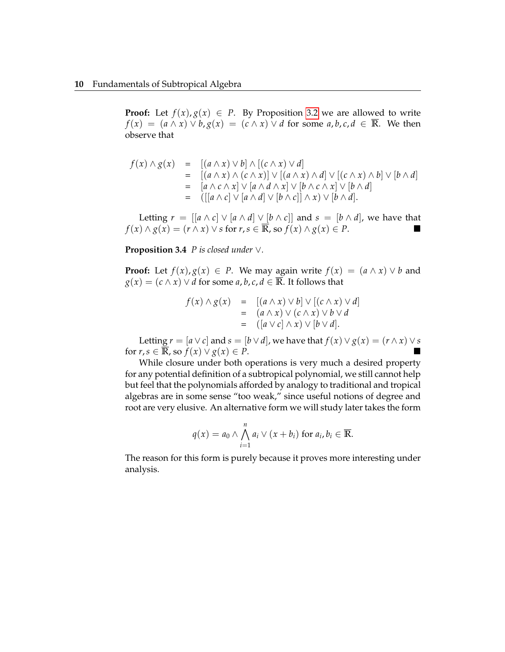**Proof:** Let  $f(x), g(x) \in P$ . By Proposition [3.2](#page-9-0) we are allowed to write *f*(*x*) = (*a* ∧ *x*) ∨ *b*, *g*(*x*) = (*c* ∧ *x*) ∨ *d* for some *a*, *b*, *c*, *d* ∈ **R**. We then observe that

$$
f(x) \wedge g(x) = [(a \wedge x) \vee b] \wedge [(c \wedge x) \vee d]
$$
  
\n
$$
= [(a \wedge x) \wedge (c \wedge x)] \vee [(a \wedge x) \wedge d] \vee [(c \wedge x) \wedge b] \vee [b \wedge d]
$$
  
\n
$$
= [a \wedge c \wedge x] \vee [a \wedge d \wedge x] \vee [b \wedge c \wedge x] \vee [b \wedge d]
$$
  
\n
$$
= ([[a \wedge c] \vee [a \wedge d] \vee [b \wedge c]] \wedge x) \vee [b \wedge d].
$$

Letting  $r = [[a \wedge c] \vee [a \wedge d] \vee [b \wedge c]]$  and  $s = [b \wedge d]$ , we have that  $f(x) \wedge g(x) = (r \wedge x) \vee s$  for  $r, s \in \overline{\mathbb{R}}$ , so  $f(x) \wedge g(x) \in P$ .

**Proposition 3.4** *P is closed under* ∨*.*

**Proof:** Let  $f(x), g(x) \in P$ . We may again write  $f(x) = (a \wedge x) \vee b$  and  $g(x) = (c \wedge x) \vee d$  for some *a*, *b*, *c*, *d*  $\in \overline{\mathbb{R}}$ . It follows that

$$
f(x) \wedge g(x) = [(a \wedge x) \vee b] \vee [(c \wedge x) \vee d]
$$
  
=  $(a \wedge x) \vee (c \wedge x) \vee b \vee d$   
=  $([a \vee c] \wedge x) \vee [b \vee d].$ 

Letting  $r = [a \lor c]$  and  $s = [b \lor d]$ , we have that  $f(x) \lor g(x) = (r \land x) \lor s$ for  $r, s \in \overline{\mathbb{R}}$ , so  $f(x) \vee g(x) \in P$ .

While closure under both operations is very much a desired property for any potential definition of a subtropical polynomial, we still cannot help but feel that the polynomials afforded by analogy to traditional and tropical algebras are in some sense "too weak," since useful notions of degree and root are very elusive. An alternative form we will study later takes the form

$$
q(x) = a_0 \wedge \bigwedge_{i=1}^n a_i \vee (x + b_i) \text{ for } a_i, b_i \in \overline{\mathbb{R}}.
$$

The reason for this form is purely because it proves more interesting under analysis.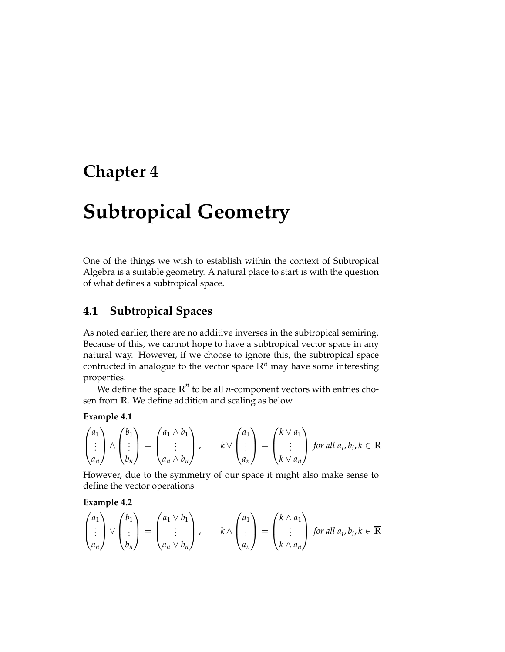# **Subtropical Geometry**

One of the things we wish to establish within the context of Subtropical Algebra is a suitable geometry. A natural place to start is with the question of what defines a subtropical space.

### **4.1 Subtropical Spaces**

As noted earlier, there are no additive inverses in the subtropical semiring. Because of this, we cannot hope to have a subtropical vector space in any natural way. However, if we choose to ignore this, the subtropical space contructed in analogue to the vector space  $\mathbb{R}^n$  may have some interesting properties.

We define the space  $\overline{\mathbb{R}}^n$  to be all *n*-component vectors with entries chosen from **R**. We define addition and scaling as below.

#### **Example 4.1**

$$
\begin{pmatrix} a_1 \\ \vdots \\ a_n \end{pmatrix} \wedge \begin{pmatrix} b_1 \\ \vdots \\ b_n \end{pmatrix} = \begin{pmatrix} a_1 \wedge b_1 \\ \vdots \\ a_n \wedge b_n \end{pmatrix}, \qquad k \vee \begin{pmatrix} a_1 \\ \vdots \\ a_n \end{pmatrix} = \begin{pmatrix} k \vee a_1 \\ \vdots \\ k \vee a_n \end{pmatrix} \text{ for all } a_i, b_i, k \in \overline{\mathbb{R}}
$$

However, due to the symmetry of our space it might also make sense to define the vector operations

**Example 4.2**

$$
\begin{pmatrix} a_1 \\ \vdots \\ a_n \end{pmatrix} \vee \begin{pmatrix} b_1 \\ \vdots \\ b_n \end{pmatrix} = \begin{pmatrix} a_1 \vee b_1 \\ \vdots \\ a_n \vee b_n \end{pmatrix}, \qquad k \wedge \begin{pmatrix} a_1 \\ \vdots \\ a_n \end{pmatrix} = \begin{pmatrix} k \wedge a_1 \\ \vdots \\ k \wedge a_n \end{pmatrix} \text{ for all } a_i, b_i, k \in \overline{\mathbb{R}}
$$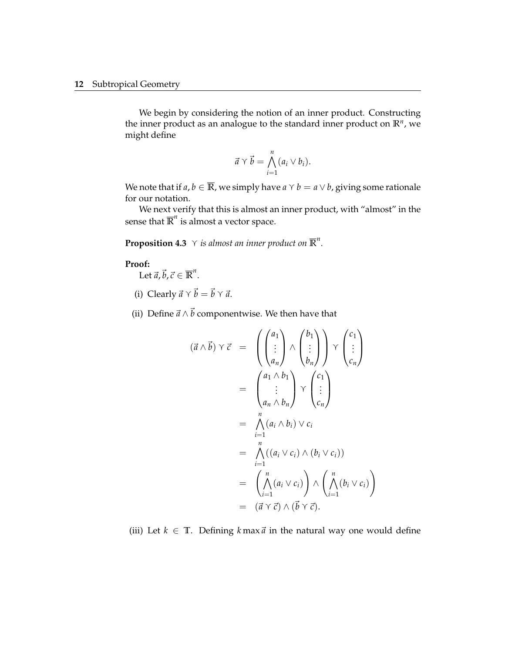We begin by considering the notion of an inner product. Constructing the inner product as an analogue to the standard inner product on **R***<sup>n</sup>* , we might define

$$
\vec{a} \vee \vec{b} = \bigwedge_{i=1}^n (a_i \vee b_i).
$$

We note that if  $a, b \in \overline{\mathbb{R}}$ , we simply have  $a \vee b = a \vee b$ , giving some rationale for our notation.

We next verify that this is almost an inner product, with "almost" in the sense that  $\overline{R}^n$  is almost a vector space.

<span id="page-13-0"></span>**Proposition 4.3**  $\,\gamma\,$  *is almost an inner product on*  $\overline{\mathbb{R}}^n$ .

#### **Proof:**

Let  $\vec{a}$ ,  $\vec{b}$ ,  $\vec{c} \in \overline{\mathbb{R}}^n$ .

- (i) Clearly  $\vec{a} \vee \vec{b} = \vec{b} \vee \vec{a}$ .
- (ii) Define  $\vec{a} \wedge \vec{b}$  componentwise. We then have that

$$
(\vec{a} \wedge \vec{b}) \vee \vec{c} = \left( \begin{pmatrix} a_1 \\ \vdots \\ a_n \end{pmatrix} \wedge \begin{pmatrix} b_1 \\ \vdots \\ b_n \end{pmatrix} \right) \vee \begin{pmatrix} c_1 \\ \vdots \\ c_n \end{pmatrix}
$$
  
\n
$$
= \begin{pmatrix} a_1 \wedge b_1 \\ \vdots \\ a_n \wedge b_n \end{pmatrix} \vee \begin{pmatrix} c_1 \\ \vdots \\ c_n \end{pmatrix}
$$
  
\n
$$
= \begin{pmatrix} n \\ \wedge (a_i \wedge b_i) \vee c_i \\ \vdots \\ \vdots \\ \vdots \end{pmatrix}
$$
  
\n
$$
= \begin{pmatrix} n \\ \wedge (a_i \vee c_i) \wedge (b_i \vee c_i) \end{pmatrix}
$$
  
\n
$$
= \begin{pmatrix} n \\ \wedge (a_i \vee c_i) \end{pmatrix} \wedge \begin{pmatrix} n \\ \wedge (b_i \vee c_i) \end{pmatrix}
$$
  
\n
$$
= (\vec{a} \vee \vec{c}) \wedge (\vec{b} \vee \vec{c}).
$$

(iii) Let  $k \in \mathbb{T}$ . Defining  $k \max \vec{a}$  in the natural way one would define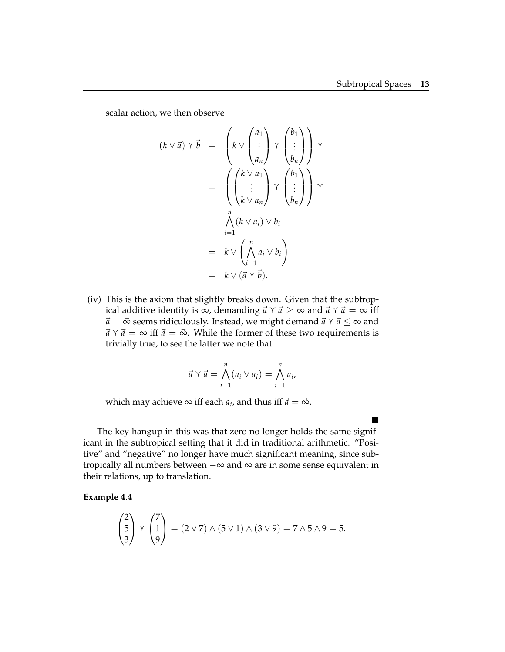$\blacksquare$ 

scalar action, we then observe

$$
(k \vee \vec{a}) \vee \vec{b} = \left(k \vee \begin{pmatrix} a_1 \\ \vdots \\ a_n \end{pmatrix} \vee \begin{pmatrix} b_1 \\ \vdots \\ b_n \end{pmatrix}\right) \vee
$$
  

$$
= \left(\begin{pmatrix} k \vee a_1 \\ \vdots \\ k \vee a_n \end{pmatrix} \vee \begin{pmatrix} b_1 \\ \vdots \\ b_n \end{pmatrix}\right) \vee
$$
  

$$
= \bigwedge_{i=1}^n (k \vee a_i) \vee b_i
$$
  

$$
= k \vee \left(\bigwedge_{i=1}^n a_i \vee b_i\right)
$$
  

$$
= k \vee (\vec{a} \vee \vec{b}).
$$

(iv) This is the axiom that slightly breaks down. Given that the subtropical additive identity is ∞, demanding  $\vec{a} \curlyvee \vec{a} \geq \infty$  and  $\vec{a} \curlyvee \vec{a} = \infty$  iff  $\vec{a} = \vec{\infty}$  seems ridiculously. Instead, we might demand  $\vec{a} \times \vec{a} \leq \infty$  and  $\vec{a} \,\gamma \,\vec{a} = \infty$  iff  $\vec{a} = \vec{\infty}$ . While the former of these two requirements is trivially true, to see the latter we note that

$$
\vec{a} \vee \vec{a} = \bigwedge_{i=1}^{n} (a_i \vee a_i) = \bigwedge_{i=1}^{n} a_i,
$$

which may achieve  $\infty$  iff each  $a_i$ , and thus iff  $\vec{a} = \vec{\infty}$ .

The key hangup in this was that zero no longer holds the same significant in the subtropical setting that it did in traditional arithmetic. "Positive" and "negative" no longer have much significant meaning, since subtropically all numbers between  $-\infty$  and  $\infty$  are in some sense equivalent in their relations, up to translation.

**Example 4.4**

$$
\begin{pmatrix} 2 \\ 5 \\ 3 \end{pmatrix} \gamma \begin{pmatrix} 7 \\ 1 \\ 9 \end{pmatrix} = (2 \vee 7) \wedge (5 \vee 1) \wedge (3 \vee 9) = 7 \wedge 5 \wedge 9 = 5.
$$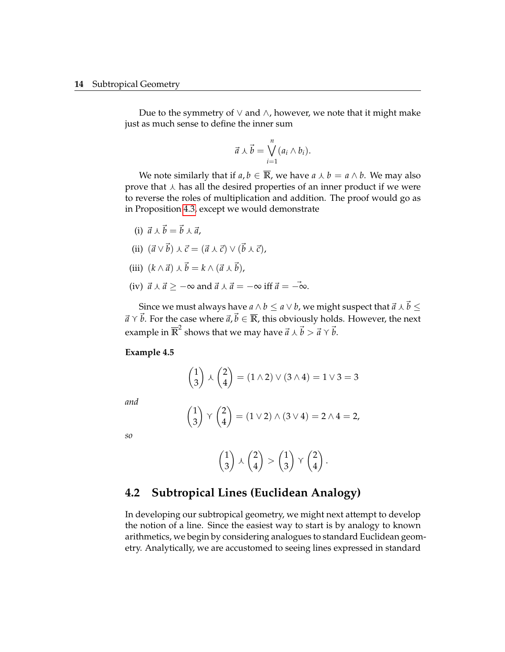Due to the symmetry of  $∨$  and  $∧$ , however, we note that it might make just as much sense to define the inner sum

$$
\vec{a} \curlywedge \vec{b} = \bigvee_{i=1}^{n} (a_i \wedge b_i).
$$

We note similarly that if  $a, b \in \overline{\mathbb{R}}$ , we have  $a \wedge b = a \wedge b$ . We may also prove that  $\lambda$  has all the desired properties of an inner product if we were to reverse the roles of multiplication and addition. The proof would go as in Proposition [4.3,](#page-13-0) except we would demonstrate

- (i)  $\vec{a} \wedge \vec{b} = \vec{b} \wedge \vec{a}$ ,
- (ii)  $(\vec{a} \vee \vec{b}) \vee (\vec{b} \vee \vec{c}) = (\vec{a} \vee \vec{c}) \vee (\vec{b} \vee \vec{c}),$
- (iii)  $(k \wedge \vec{a}) \wedge \vec{b} = k \wedge (\vec{a} \wedge \vec{b}),$
- (iv)  $\vec{a} \wedge \vec{a} \geq -\infty$  and  $\vec{a} \wedge \vec{a} = -\infty$  iff  $\vec{a} = -\infty$ .

Since we must always have  $a \wedge b \le a \vee b$ , we might suspect that  $\vec{a} \wedge \vec{b} \le$  $\vec{a} \times \vec{b}$ . For the case where  $\vec{a}, \vec{b} \in \overline{\mathbb{R}}$ , this obviously holds. However, the next example in  $\overline{\mathbb{R}}^2$  shows that we may have  $\vec{a} \curlywedge \vec{b} > \vec{a} \curlyvee \vec{b}$ .

**Example 4.5**

$$
\begin{pmatrix} 1 \\ 3 \end{pmatrix} \setminus \begin{pmatrix} 2 \\ 4 \end{pmatrix} = (1 \land 2) \lor (3 \land 4) = 1 \lor 3 = 3
$$

*and*

$$
\begin{pmatrix} 1 \\ 3 \end{pmatrix} \vee \begin{pmatrix} 2 \\ 4 \end{pmatrix} = (1 \vee 2) \wedge (3 \vee 4) = 2 \wedge 4 = 2,
$$

*so*

$$
\begin{pmatrix} 1 \\ 3 \end{pmatrix} \setminus \begin{pmatrix} 2 \\ 4 \end{pmatrix} > \begin{pmatrix} 1 \\ 3 \end{pmatrix} \vee \begin{pmatrix} 2 \\ 4 \end{pmatrix}.
$$

### **4.2 Subtropical Lines (Euclidean Analogy)**

In developing our subtropical geometry, we might next attempt to develop the notion of a line. Since the easiest way to start is by analogy to known arithmetics, we begin by considering analogues to standard Euclidean geometry. Analytically, we are accustomed to seeing lines expressed in standard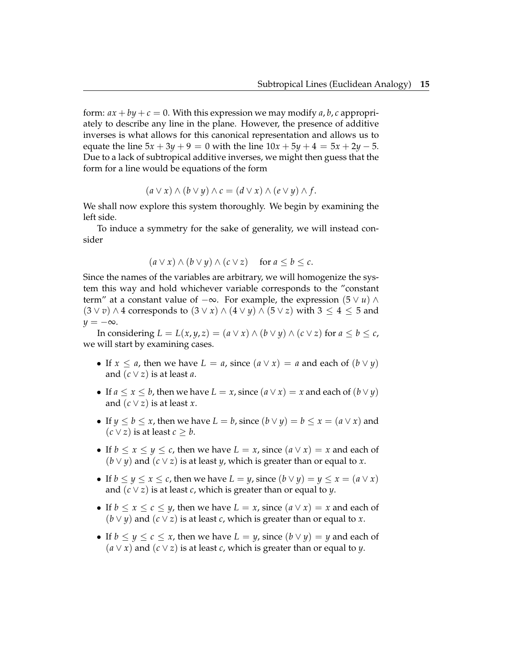form:  $ax + by + c = 0$ . With this expression we may modify *a*, *b*, *c* appropriately to describe any line in the plane. However, the presence of additive inverses is what allows for this canonical representation and allows us to equate the line  $5x + 3y + 9 = 0$  with the line  $10x + 5y + 4 = 5x + 2y - 5$ . Due to a lack of subtropical additive inverses, we might then guess that the form for a line would be equations of the form

$$
(a \vee x) \wedge (b \vee y) \wedge c = (d \vee x) \wedge (e \vee y) \wedge f.
$$

We shall now explore this system thoroughly. We begin by examining the left side.

To induce a symmetry for the sake of generality, we will instead consider

$$
(a \vee x) \wedge (b \vee y) \wedge (c \vee z) \quad \text{for } a \leq b \leq c.
$$

Since the names of the variables are arbitrary, we will homogenize the system this way and hold whichever variable corresponds to the "constant term" at a constant value of  $-\infty$ . For example, the expression (5  $\lor$  *u*)  $\land$  $(3 \vee v) \wedge 4$  corresponds to  $(3 \vee x) \wedge (4 \vee y) \wedge (5 \vee z)$  with  $3 \leq 4 \leq 5$  and  $y = -\infty$ .

In considering  $L = L(x, y, z) = (a \lor x) \land (b \lor y) \land (c \lor z)$  for  $a \leq b \leq c$ , we will start by examining cases.

- If  $x \le a$ , then we have  $L = a$ , since  $(a \vee x) = a$  and each of  $(b \vee y)$ and  $(c \vee z)$  is at least *a*.
- If  $a \le x \le b$ , then we have  $L = x$ , since  $(a \vee x) = x$  and each of  $(b \vee y)$ and  $(c \vee z)$  is at least *x*.
- If  $y \le b \le x$ , then we have  $L = b$ , since  $(b \vee y) = b \le x = (a \vee x)$  and  $(c ∨ z)$  is at least *c* ≥ *b*.
- If  $b \le x \le y \le c$ , then we have  $L = x$ , since  $(a \vee x) = x$  and each of  $(b \vee y)$  and  $(c \vee z)$  is at least *y*, which is greater than or equal to *x*.
- If  $b \le y \le x \le c$ , then we have  $L = y$ , since  $(b \vee y) = y \le x = (a \vee x)$ and (*c* ∨ *z*) is at least *c*, which is greater than or equal to *y*.
- If  $b \le x \le c \le y$ , then we have  $L = x$ , since  $(a \vee x) = x$  and each of  $(b \vee y)$  and  $(c \vee z)$  is at least *c*, which is greater than or equal to *x*.
- If  $b \le y \le c \le x$ , then we have  $L = y$ , since  $(b \vee y) = y$  and each of  $(a ∨ x)$  and  $(c ∨ z)$  is at least *c*, which is greater than or equal to *y*.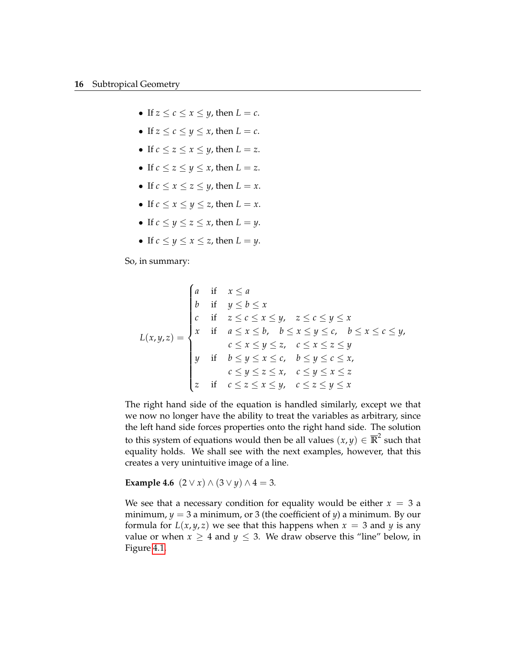- If  $z \leq c \leq x \leq y$ , then  $L = c$ .
- If  $z \leq c \leq y \leq x$ , then  $L = c$ .
- If  $c \leq z \leq x \leq y$ , then  $L = z$ .
- If  $c \leq z \leq y \leq x$ , then  $L = z$ .
- If  $c \leq x \leq z \leq y$ , then  $L = x$ .
- If  $c \leq x \leq y \leq z$ , then  $L = x$ .
- If  $c \le y \le z \le x$ , then  $L = y$ .
- If  $c \le y \le x \le z$ , then  $L = y$ .

So, in summary:

$$
L(x,y,z) = \begin{cases} a & \text{if } x \le a \\ b & \text{if } y \le b \le x \\ c & \text{if } z \le c \le x \le y, \quad z \le c \le y \le x \\ x & \text{if } a \le x \le b, \quad b \le x \le y \le c, \quad b \le x \le c \le y, \\ c \le x \le y \le z, \quad c \le x \le z \le y \\ y & \text{if } b \le y \le x \le c, \quad b \le y \le c \le x, \\ c \le y \le z \le x, \quad c \le y \le x \le z \\ z & \text{if } c \le z \le x \le y, \quad c \le z \le y \le x \end{cases}
$$

The right hand side of the equation is handled similarly, except we that we now no longer have the ability to treat the variables as arbitrary, since the left hand side forces properties onto the right hand side. The solution to this system of equations would then be all values  $(x, y) \in \overline{\mathbb{R}}^2$  such that equality holds. We shall see with the next examples, however, that this creates a very unintuitive image of a line.

**Example 4.6**  $(2 \vee x) \wedge (3 \vee y) \wedge 4 = 3$ *.* 

We see that a necessary condition for equality would be either  $x = 3$  a minimum,  $y = 3$  a minimum, or 3 (the coefficient of  $y$ ) a minimum. By our formula for  $L(x, y, z)$  we see that this happens when  $x = 3$  and  $y$  is any value or when  $x \geq 4$  and  $y \leq 3$ . We draw observe this "line" below, in Figure [4.1.](#page-18-0)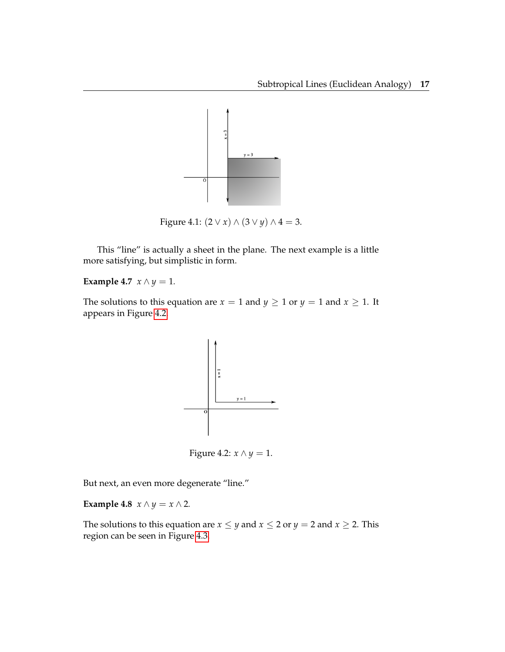

<span id="page-18-0"></span>Figure 4.1:  $(2 \vee x) \wedge (3 \vee y) \wedge 4 = 3$ .

This "line" is actually a sheet in the plane. The next example is a little more satisfying, but simplistic in form.

### **Example 4.7**  $x \wedge y = 1$ .

The solutions to this equation are  $x = 1$  and  $y \ge 1$  or  $y = 1$  and  $x \ge 1$ . It appears in Figure [4.2.](#page-18-1)



<span id="page-18-1"></span>Figure 4.2: *x* ∧ *y* = 1.

But next, an even more degenerate "line."

**Example 4.8**  $x \wedge y = x \wedge 2$ *.* 

The solutions to this equation are  $x \le y$  and  $x \le 2$  or  $y = 2$  and  $x \ge 2$ . This region can be seen in Figure [4.3.](#page-19-0)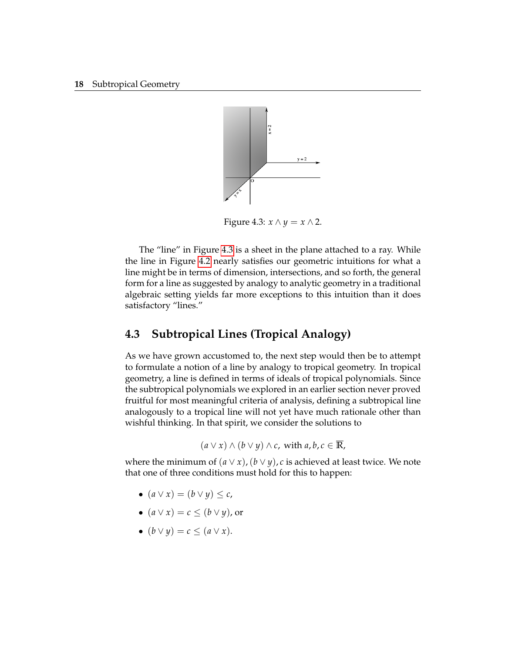

<span id="page-19-0"></span>Figure 4.3:  $x \wedge y = x \wedge 2$ .

The "line" in Figure [4.3](#page-19-0) is a sheet in the plane attached to a ray. While the line in Figure [4.2](#page-18-1) nearly satisfies our geometric intuitions for what a line might be in terms of dimension, intersections, and so forth, the general form for a line as suggested by analogy to analytic geometry in a traditional algebraic setting yields far more exceptions to this intuition than it does satisfactory "lines."

### **4.3 Subtropical Lines (Tropical Analogy)**

As we have grown accustomed to, the next step would then be to attempt to formulate a notion of a line by analogy to tropical geometry. In tropical geometry, a line is defined in terms of ideals of tropical polynomials. Since the subtropical polynomials we explored in an earlier section never proved fruitful for most meaningful criteria of analysis, defining a subtropical line analogously to a tropical line will not yet have much rationale other than wishful thinking. In that spirit, we consider the solutions to

$$
(a \vee x) \wedge (b \vee y) \wedge c
$$
, with  $a, b, c \in \overline{\mathbb{R}}$ ,

where the minimum of  $(a \lor x)$ ,  $(b \lor y)$ , *c* is achieved at least twice. We note that one of three conditions must hold for this to happen:

- $\bullet$   $(a \vee x) = (b \vee y) \leq c$ ,
- $(a \vee x) = c \le (b \vee y)$ , or
- $(b \vee y) = c \leq (a \vee x).$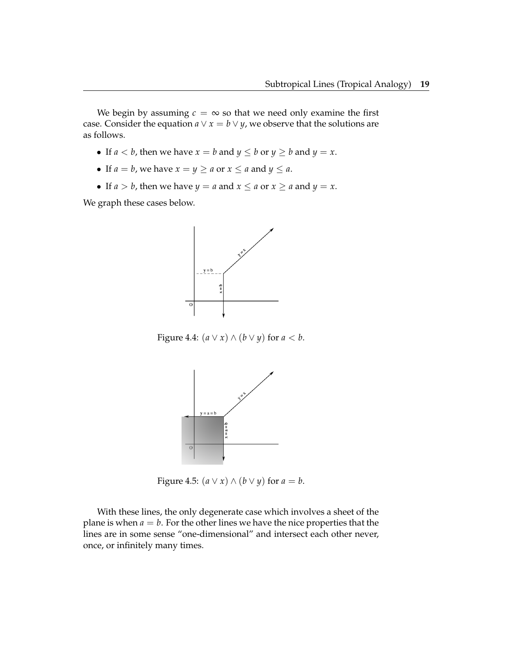We begin by assuming  $c = \infty$  so that we need only examine the first case. Consider the equation  $a \vee x = b \vee y$ , we observe that the solutions are as follows.

- If  $a < b$ , then we have  $x = b$  and  $y \le b$  or  $y \ge b$  and  $y = x$ .
- If  $a = b$ , we have  $x = y \ge a$  or  $x \le a$  and  $y \le a$ .
- If  $a > b$ , then we have  $y = a$  and  $x \le a$  or  $x \ge a$  and  $y = x$ .

We graph these cases below.



Figure 4.4:  $(a \lor x) \land (b \lor y)$  for  $a < b$ .



Figure 4.5:  $(a \lor x) \land (b \lor y)$  for  $a = b$ .

With these lines, the only degenerate case which involves a sheet of the plane is when  $a = b$ . For the other lines we have the nice properties that the lines are in some sense "one-dimensional" and intersect each other never, once, or infinitely many times.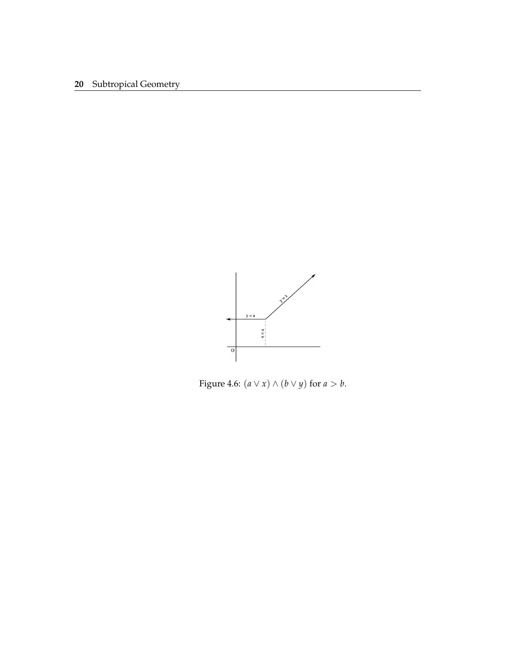

Figure 4.6:  $(a \lor x) \land (b \lor y)$  for  $a > b$ .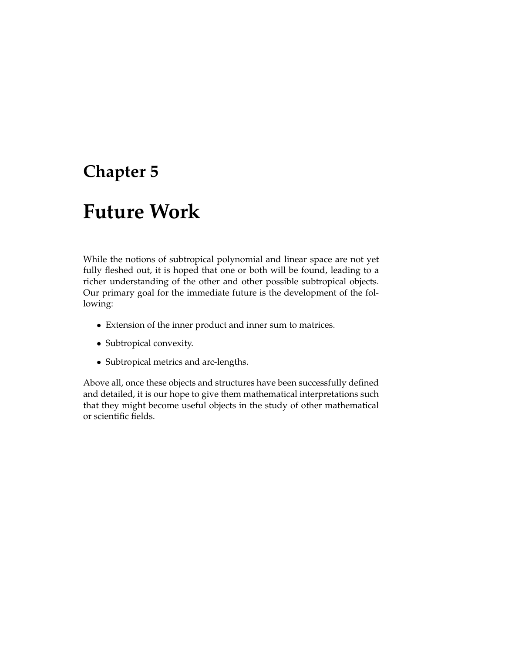# **Future Work**

While the notions of subtropical polynomial and linear space are not yet fully fleshed out, it is hoped that one or both will be found, leading to a richer understanding of the other and other possible subtropical objects. Our primary goal for the immediate future is the development of the following:

- Extension of the inner product and inner sum to matrices.
- Subtropical convexity.
- Subtropical metrics and arc-lengths.

Above all, once these objects and structures have been successfully defined and detailed, it is our hope to give them mathematical interpretations such that they might become useful objects in the study of other mathematical or scientific fields.